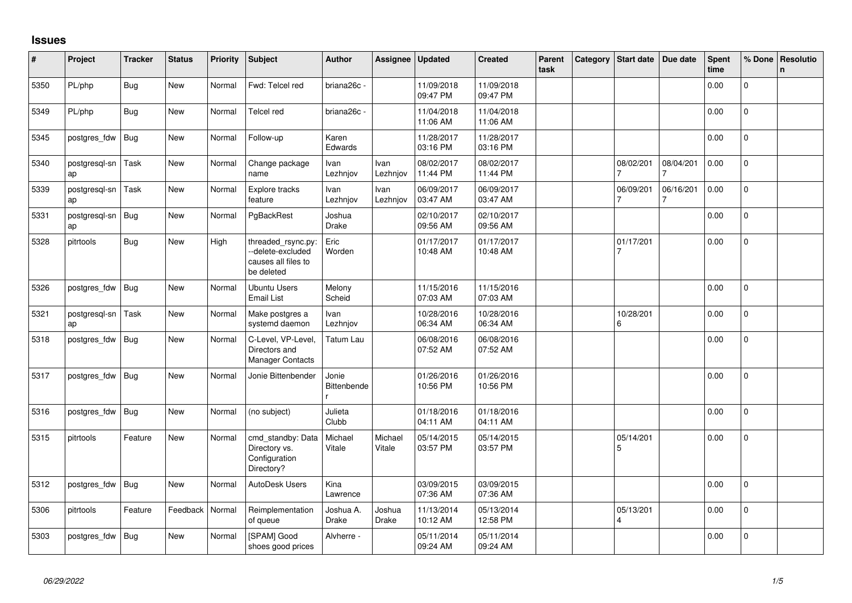## **Issues**

| #    | Project             | <b>Tracker</b> | <b>Status</b> | Priority | <b>Subject</b>                                                               | <b>Author</b>               | Assignee          | Updated                | <b>Created</b>         | Parent<br>task | Category | Start date     | Due date  | Spent<br>time | % Done         | Resolutio<br>$\mathsf{n}$ |
|------|---------------------|----------------|---------------|----------|------------------------------------------------------------------------------|-----------------------------|-------------------|------------------------|------------------------|----------------|----------|----------------|-----------|---------------|----------------|---------------------------|
| 5350 | PL/php              | Bug            | <b>New</b>    | Normal   | Fwd: Telcel red                                                              | briana26c -                 |                   | 11/09/2018<br>09:47 PM | 11/09/2018<br>09:47 PM |                |          |                |           | 0.00          | $\overline{0}$ |                           |
| 5349 | PL/php              | <b>Bug</b>     | New           | Normal   | Telcel red                                                                   | briana26c -                 |                   | 11/04/2018<br>11:06 AM | 11/04/2018<br>11:06 AM |                |          |                |           | 0.00          | $\Omega$       |                           |
| 5345 | postgres_fdw        | <b>Bug</b>     | <b>New</b>    | Normal   | Follow-up                                                                    | Karen<br>Edwards            |                   | 11/28/2017<br>03:16 PM | 11/28/2017<br>03:16 PM |                |          |                |           | 0.00          | $\Omega$       |                           |
| 5340 | postgresgl-sn<br>ap | Task           | New           | Normal   | Change package<br>name                                                       | Ivan<br>Lezhnjov            | Ivan<br>Lezhnjov  | 08/02/2017<br>11:44 PM | 08/02/2017<br>11:44 PM |                |          | 08/02/201<br>7 | 08/04/201 | 0.00          | $\pmb{0}$      |                           |
| 5339 | postgresgl-sn<br>ap | Task           | <b>New</b>    | Normal   | Explore tracks<br>feature                                                    | Ivan<br>Lezhnjov            | Ivan<br>Lezhnjov  | 06/09/2017<br>03:47 AM | 06/09/2017<br>03:47 AM |                |          | 06/09/201      | 06/16/201 | 0.00          | 0              |                           |
| 5331 | postgresgl-sn<br>ap | Bug            | New           | Normal   | PgBackRest                                                                   | Joshua<br><b>Drake</b>      |                   | 02/10/2017<br>09:56 AM | 02/10/2017<br>09:56 AM |                |          |                |           | 0.00          | 0              |                           |
| 5328 | pitrtools           | <b>Bug</b>     | <b>New</b>    | High     | threaded_rsync.py:<br>--delete-excluded<br>causes all files to<br>be deleted | Eric<br>Worden              |                   | 01/17/2017<br>10:48 AM | 01/17/2017<br>10:48 AM |                |          | 01/17/201      |           | 0.00          | $\overline{0}$ |                           |
| 5326 | postgres_fdw        | Bug            | New           | Normal   | <b>Ubuntu Users</b><br><b>Email List</b>                                     | Melony<br>Scheid            |                   | 11/15/2016<br>07:03 AM | 11/15/2016<br>07:03 AM |                |          |                |           | 0.00          | 0              |                           |
| 5321 | postgresql-sn<br>ap | Task           | <b>New</b>    | Normal   | Make postgres a<br>systemd daemon                                            | Ivan<br>Lezhnjov            |                   | 10/28/2016<br>06:34 AM | 10/28/2016<br>06:34 AM |                |          | 10/28/201<br>6 |           | 0.00          | $\overline{0}$ |                           |
| 5318 | postgres_fdw        | Bug            | New           | Normal   | C-Level, VP-Level,<br>Directors and<br><b>Manager Contacts</b>               | Tatum Lau                   |                   | 06/08/2016<br>07:52 AM | 06/08/2016<br>07:52 AM |                |          |                |           | 0.00          | $\overline{0}$ |                           |
| 5317 | postgres_fdw        | Bug            | New           | Normal   | Jonie Bittenbender                                                           | Jonie<br><b>Bittenbende</b> |                   | 01/26/2016<br>10:56 PM | 01/26/2016<br>10:56 PM |                |          |                |           | 0.00          | 0              |                           |
| 5316 | postgres fdw        | Bug            | New           | Normal   | (no subject)                                                                 | Julieta<br>Clubb            |                   | 01/18/2016<br>04:11 AM | 01/18/2016<br>04:11 AM |                |          |                |           | 0.00          | $\mathbf 0$    |                           |
| 5315 | pitrtools           | Feature        | <b>New</b>    | Normal   | cmd_standby: Data<br>Directory vs.<br>Configuration<br>Directory?            | Michael<br>Vitale           | Michael<br>Vitale | 05/14/2015<br>03:57 PM | 05/14/2015<br>03:57 PM |                |          | 05/14/201<br>5 |           | 0.00          | 0              |                           |
| 5312 | postgres_fdw        | <b>Bug</b>     | New           | Normal   | AutoDesk Users                                                               | Kina<br>Lawrence            |                   | 03/09/2015<br>07:36 AM | 03/09/2015<br>07:36 AM |                |          |                |           | 0.00          | 0              |                           |
| 5306 | pitrtools           | Feature        | Feedback      | Normal   | Reimplementation<br>of queue                                                 | Joshua A.<br>Drake          | Joshua<br>Drake   | 11/13/2014<br>10:12 AM | 05/13/2014<br>12:58 PM |                |          | 05/13/201<br>4 |           | 0.00          | $\Omega$       |                           |
| 5303 | postgres_fdw        | Bug            | New           | Normal   | [SPAM] Good<br>shoes good prices                                             | Alvherre -                  |                   | 05/11/2014<br>09:24 AM | 05/11/2014<br>09:24 AM |                |          |                |           | 0.00          | $\overline{0}$ |                           |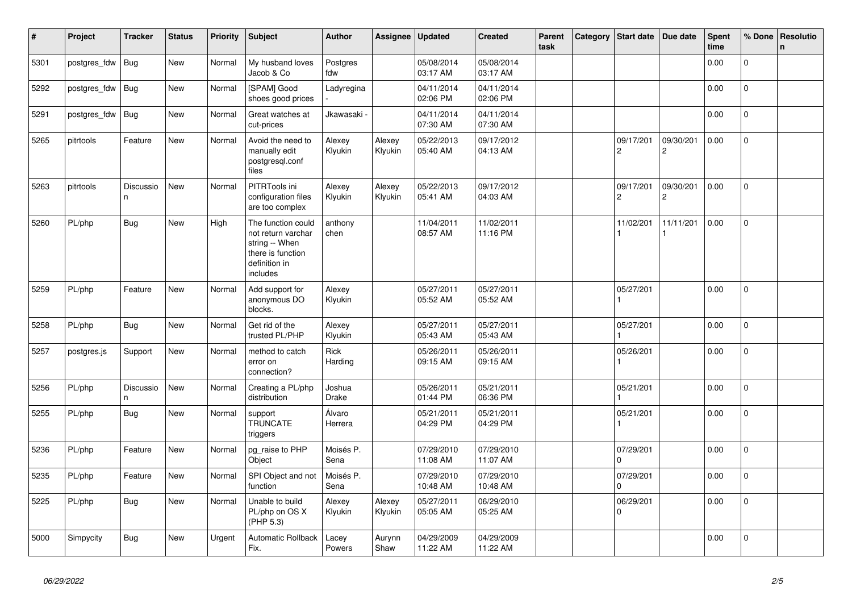| $\vert$ # | Project      | <b>Tracker</b>  | <b>Status</b> | <b>Priority</b> | <b>Subject</b>                                                                                               | <b>Author</b>          | Assignee          | <b>Updated</b>         | <b>Created</b>         | Parent<br>task | Category | Start date                  | Due date                    | <b>Spent</b><br>time | % Done         | Resolutio<br>$\mathsf{n}$ |
|-----------|--------------|-----------------|---------------|-----------------|--------------------------------------------------------------------------------------------------------------|------------------------|-------------------|------------------------|------------------------|----------------|----------|-----------------------------|-----------------------------|----------------------|----------------|---------------------------|
| 5301      | postgres_fdw | <b>Bug</b>      | <b>New</b>    | Normal          | My husband loves<br>Jacob & Co                                                                               | Postgres<br>fdw        |                   | 05/08/2014<br>03:17 AM | 05/08/2014<br>03:17 AM |                |          |                             |                             | 0.00                 | $\Omega$       |                           |
| 5292      | postgres fdw | Bug             | <b>New</b>    | Normal          | [SPAM] Good<br>shoes good prices                                                                             | Ladyregina             |                   | 04/11/2014<br>02:06 PM | 04/11/2014<br>02:06 PM |                |          |                             |                             | 0.00                 | $\mathsf{O}$   |                           |
| 5291      | postgres_fdw | <b>Bug</b>      | New           | Normal          | Great watches at<br>cut-prices                                                                               | Jkawasaki <sub>'</sub> |                   | 04/11/2014<br>07:30 AM | 04/11/2014<br>07:30 AM |                |          |                             |                             | 0.00                 | $\overline{0}$ |                           |
| 5265      | pitrtools    | Feature         | New           | Normal          | Avoid the need to<br>manually edit<br>postgresql.conf<br>files                                               | Alexey<br>Klyukin      | Alexey<br>Klyukin | 05/22/2013<br>05:40 AM | 09/17/2012<br>04:13 AM |                |          | 09/17/201<br>$\overline{c}$ | 09/30/201<br>$\overline{c}$ | 0.00                 | 0              |                           |
| 5263      | pitrtools    | Discussio<br>n. | New           | Normal          | PITRTools ini<br>configuration files<br>are too complex                                                      | Alexey<br>Klyukin      | Alexey<br>Klyukin | 05/22/2013<br>05:41 AM | 09/17/2012<br>04:03 AM |                |          | 09/17/201<br>$\mathbf 2$    | 09/30/201<br>2              | 0.00                 | 0              |                           |
| 5260      | PL/php       | Bug             | <b>New</b>    | High            | The function could<br>not return varchar<br>string -- When<br>there is function<br>definition in<br>includes | anthony<br>chen        |                   | 11/04/2011<br>08:57 AM | 11/02/2011<br>11:16 PM |                |          | 11/02/201<br>1              | 11/11/201                   | 0.00                 | $\mathbf 0$    |                           |
| 5259      | PL/php       | Feature         | <b>New</b>    | Normal          | Add support for<br>anonymous DO<br>blocks.                                                                   | Alexey<br>Klyukin      |                   | 05/27/2011<br>05:52 AM | 05/27/2011<br>05:52 AM |                |          | 05/27/201                   |                             | 0.00                 | 0              |                           |
| 5258      | PL/php       | Bug             | New           | Normal          | Get rid of the<br>trusted PL/PHP                                                                             | Alexey<br>Klyukin      |                   | 05/27/2011<br>05:43 AM | 05/27/2011<br>05:43 AM |                |          | 05/27/201                   |                             | 0.00                 | $\Omega$       |                           |
| 5257      | postgres.js  | Support         | New           | Normal          | method to catch<br>error on<br>connection?                                                                   | Rick<br>Harding        |                   | 05/26/2011<br>09:15 AM | 05/26/2011<br>09:15 AM |                |          | 05/26/201<br>$\overline{1}$ |                             | 0.00                 | $\mathbf 0$    |                           |
| 5256      | PL/php       | Discussio<br>n  | New           | Normal          | Creating a PL/php<br>distribution                                                                            | Joshua<br>Drake        |                   | 05/26/2011<br>01:44 PM | 05/21/2011<br>06:36 PM |                |          | 05/21/201                   |                             | 0.00                 | $\Omega$       |                           |
| 5255      | PL/php       | <b>Bug</b>      | New           | Normal          | support<br><b>TRUNCATE</b><br>triggers                                                                       | Álvaro<br>Herrera      |                   | 05/21/2011<br>04:29 PM | 05/21/2011<br>04:29 PM |                |          | 05/21/201<br>1              |                             | 0.00                 | $\mathbf 0$    |                           |
| 5236      | PL/php       | Feature         | New           | Normal          | pg_raise to PHP<br>Object                                                                                    | Moisés P.<br>Sena      |                   | 07/29/2010<br>11:08 AM | 07/29/2010<br>11:07 AM |                |          | 07/29/201<br>$\Omega$       |                             | 0.00                 | $\mathbf 0$    |                           |
| 5235      | PL/php       | Feature         | New           | Normal          | SPI Object and not<br>function                                                                               | Moisés P.<br>Sena      |                   | 07/29/2010<br>10:48 AM | 07/29/2010<br>10:48 AM |                |          | 07/29/201<br>0              |                             | 0.00                 | $\overline{0}$ |                           |
| 5225      | PL/php       | <b>Bug</b>      | New           | Normal          | Unable to build<br>PL/php on OS X<br>(PHP 5.3)                                                               | Alexey<br>Klyukin      | Alexey<br>Klyukin | 05/27/2011<br>05:05 AM | 06/29/2010<br>05:25 AM |                |          | 06/29/201<br>$\Omega$       |                             | 0.00                 | 0              |                           |
| 5000      | Simpycity    | Bug             | <b>New</b>    | Urgent          | <b>Automatic Rollback</b><br>Fix.                                                                            | Lacey<br>Powers        | Aurynn<br>Shaw    | 04/29/2009<br>11:22 AM | 04/29/2009<br>11:22 AM |                |          |                             |                             | 0.00                 | $\overline{0}$ |                           |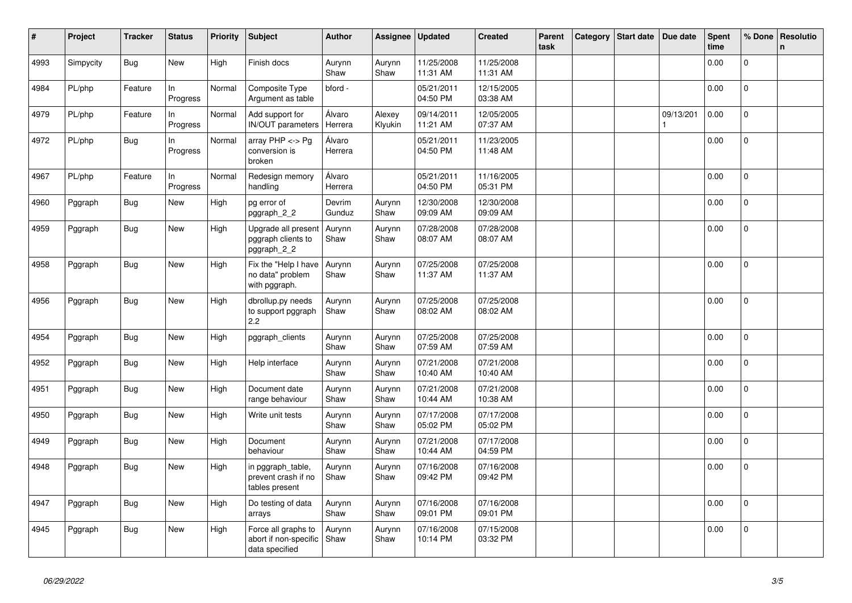| #    | Project   | <b>Tracker</b> | <b>Status</b>   | <b>Priority</b> | <b>Subject</b>                                                 | <b>Author</b>     | Assignee          | <b>Updated</b>         | <b>Created</b>         | Parent<br>task | Category | Start date | Due date  | <b>Spent</b><br>time | % Done       | Resolutio<br>n |
|------|-----------|----------------|-----------------|-----------------|----------------------------------------------------------------|-------------------|-------------------|------------------------|------------------------|----------------|----------|------------|-----------|----------------------|--------------|----------------|
| 4993 | Simpycity | <b>Bug</b>     | New             | High            | Finish docs                                                    | Aurynn<br>Shaw    | Aurynn<br>Shaw    | 11/25/2008<br>11:31 AM | 11/25/2008<br>11:31 AM |                |          |            |           | 0.00                 | $\mathbf{0}$ |                |
| 4984 | PL/php    | Feature        | In<br>Progress  | Normal          | Composite Type<br>Argument as table                            | bford -           |                   | 05/21/2011<br>04:50 PM | 12/15/2005<br>03:38 AM |                |          |            |           | 0.00                 | $\mathbf{0}$ |                |
| 4979 | PL/php    | Feature        | In<br>Progress  | Normal          | Add support for<br>IN/OUT parameters                           | Álvaro<br>Herrera | Alexey<br>Klyukin | 09/14/2011<br>11:21 AM | 12/05/2005<br>07:37 AM |                |          |            | 09/13/201 | 0.00                 | $\mathbf{0}$ |                |
| 4972 | PL/php    | <b>Bug</b>     | In.<br>Progress | Normal          | array $PHP \lt\gt P$ g<br>conversion is<br>broken              | Álvaro<br>Herrera |                   | 05/21/2011<br>04:50 PM | 11/23/2005<br>11:48 AM |                |          |            |           | 0.00                 | $\Omega$     |                |
| 4967 | PL/php    | Feature        | ln.<br>Progress | Normal          | Redesign memory<br>handling                                    | Álvaro<br>Herrera |                   | 05/21/2011<br>04:50 PM | 11/16/2005<br>05:31 PM |                |          |            |           | 0.00                 | 0            |                |
| 4960 | Pggraph   | Bug            | New             | High            | pg error of<br>pggraph_2_2                                     | Devrim<br>Gunduz  | Aurynn<br>Shaw    | 12/30/2008<br>09:09 AM | 12/30/2008<br>09:09 AM |                |          |            |           | 0.00                 | 0            |                |
| 4959 | Pggraph   | <b>Bug</b>     | New             | High            | Upgrade all present<br>pggraph clients to<br>pggraph_2_2       | Aurynn<br>Shaw    | Aurynn<br>Shaw    | 07/28/2008<br>08:07 AM | 07/28/2008<br>08:07 AM |                |          |            |           | 0.00                 | $\mathbf 0$  |                |
| 4958 | Pggraph   | Bug            | New             | High            | Fix the "Help I have<br>no data" problem<br>with pggraph.      | Aurynn<br>Shaw    | Aurynn<br>Shaw    | 07/25/2008<br>11:37 AM | 07/25/2008<br>11:37 AM |                |          |            |           | 0.00                 | 0            |                |
| 4956 | Pggraph   | Bug            | New             | High            | dbrollup.py needs<br>to support pggraph<br>2.2                 | Aurynn<br>Shaw    | Aurynn<br>Shaw    | 07/25/2008<br>08:02 AM | 07/25/2008<br>08:02 AM |                |          |            |           | 0.00                 | $\mathbf{0}$ |                |
| 4954 | Pggraph   | Bug            | New             | High            | pggraph clients                                                | Aurynn<br>Shaw    | Aurynn<br>Shaw    | 07/25/2008<br>07:59 AM | 07/25/2008<br>07:59 AM |                |          |            |           | 0.00                 | $\mathbf 0$  |                |
| 4952 | Pggraph   | <b>Bug</b>     | New             | High            | Help interface                                                 | Aurynn<br>Shaw    | Aurynn<br>Shaw    | 07/21/2008<br>10:40 AM | 07/21/2008<br>10:40 AM |                |          |            |           | 0.00                 | $\mathbf{0}$ |                |
| 4951 | Pggraph   | <b>Bug</b>     | <b>New</b>      | High            | Document date<br>range behaviour                               | Aurynn<br>Shaw    | Aurynn<br>Shaw    | 07/21/2008<br>10:44 AM | 07/21/2008<br>10:38 AM |                |          |            |           | 0.00                 | $\Omega$     |                |
| 4950 | Pggraph   | Bug            | New             | High            | Write unit tests                                               | Aurynn<br>Shaw    | Aurynn<br>Shaw    | 07/17/2008<br>05:02 PM | 07/17/2008<br>05:02 PM |                |          |            |           | 0.00                 | $\mathbf{0}$ |                |
| 4949 | Pggraph   | <b>Bug</b>     | New             | High            | Document<br>behaviour                                          | Aurynn<br>Shaw    | Aurynn<br>Shaw    | 07/21/2008<br>10:44 AM | 07/17/2008<br>04:59 PM |                |          |            |           | 0.00                 | $\mathbf{0}$ |                |
| 4948 | Pggraph   | <b>Bug</b>     | New             | High            | in pggraph_table,<br>prevent crash if no<br>tables present     | Aurynn<br>Shaw    | Aurynn<br>Shaw    | 07/16/2008<br>09:42 PM | 07/16/2008<br>09:42 PM |                |          |            |           | 0.00                 | 0            |                |
| 4947 | Pggraph   | Bug            | New             | High            | Do testing of data<br>arrays                                   | Aurynn<br>Shaw    | Aurynn<br>Shaw    | 07/16/2008<br>09:01 PM | 07/16/2008<br>09:01 PM |                |          |            |           | 0.00                 | $\mathbf{0}$ |                |
| 4945 | Pggraph   | <b>Bug</b>     | New             | High            | Force all graphs to<br>abort if non-specific<br>data specified | Aurynn<br>Shaw    | Aurynn<br>Shaw    | 07/16/2008<br>10:14 PM | 07/15/2008<br>03:32 PM |                |          |            |           | 0.00                 | 0            |                |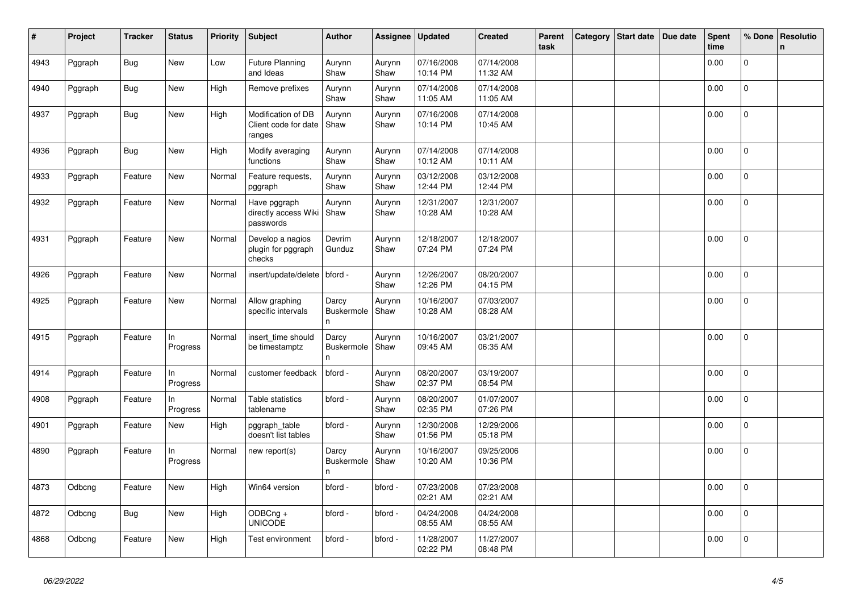| #    | Project | <b>Tracker</b> | <b>Status</b>  | <b>Priority</b> | Subject                                              | <b>Author</b>                    | Assignee       | <b>Updated</b>         | <b>Created</b>         | Parent<br>task | Category | Start date | Due date | <b>Spent</b><br>time | % Done         | Resolutio<br>$\mathsf{n}$ |
|------|---------|----------------|----------------|-----------------|------------------------------------------------------|----------------------------------|----------------|------------------------|------------------------|----------------|----------|------------|----------|----------------------|----------------|---------------------------|
| 4943 | Pggraph | <b>Bug</b>     | New            | Low             | <b>Future Planning</b><br>and Ideas                  | Aurynn<br>Shaw                   | Aurynn<br>Shaw | 07/16/2008<br>10:14 PM | 07/14/2008<br>11:32 AM |                |          |            |          | 0.00                 | $\Omega$       |                           |
| 4940 | Pggraph | Bug            | <b>New</b>     | High            | Remove prefixes                                      | Aurynn<br>Shaw                   | Aurynn<br>Shaw | 07/14/2008<br>11:05 AM | 07/14/2008<br>11:05 AM |                |          |            |          | 0.00                 | 0              |                           |
| 4937 | Pggraph | Bug            | New            | High            | Modification of DB<br>Client code for date<br>ranges | Aurynn<br>Shaw                   | Aurynn<br>Shaw | 07/16/2008<br>10:14 PM | 07/14/2008<br>10:45 AM |                |          |            |          | 0.00                 | $\overline{0}$ |                           |
| 4936 | Pggraph | Bug            | <b>New</b>     | High            | Modify averaging<br>functions                        | Aurynn<br>Shaw                   | Aurynn<br>Shaw | 07/14/2008<br>10:12 AM | 07/14/2008<br>10:11 AM |                |          |            |          | 0.00                 | $\mathbf 0$    |                           |
| 4933 | Pggraph | Feature        | New            | Normal          | Feature requests,<br>pggraph                         | Aurynn<br>Shaw                   | Aurynn<br>Shaw | 03/12/2008<br>12:44 PM | 03/12/2008<br>12:44 PM |                |          |            |          | 0.00                 | $\overline{0}$ |                           |
| 4932 | Pggraph | Feature        | New            | Normal          | Have pggraph<br>directly access Wiki<br>passwords    | Aurynn<br>Shaw                   | Aurynn<br>Shaw | 12/31/2007<br>10:28 AM | 12/31/2007<br>10:28 AM |                |          |            |          | 0.00                 | $\mathbf{0}$   |                           |
| 4931 | Pggraph | Feature        | New            | Normal          | Develop a nagios<br>plugin for pggraph<br>checks     | Devrim<br>Gunduz                 | Aurynn<br>Shaw | 12/18/2007<br>07:24 PM | 12/18/2007<br>07:24 PM |                |          |            |          | 0.00                 | $\Omega$       |                           |
| 4926 | Pggraph | Feature        | New            | Normal          | insert/update/delete   bford -                       |                                  | Aurynn<br>Shaw | 12/26/2007<br>12:26 PM | 08/20/2007<br>04:15 PM |                |          |            |          | 0.00                 | $\Omega$       |                           |
| 4925 | Pggraph | Feature        | <b>New</b>     | Normal          | Allow graphing<br>specific intervals                 | Darcy<br><b>Buskermole</b><br>n. | Aurynn<br>Shaw | 10/16/2007<br>10:28 AM | 07/03/2007<br>08:28 AM |                |          |            |          | 0.00                 | $\overline{0}$ |                           |
| 4915 | Pggraph | Feature        | In<br>Progress | Normal          | insert time should<br>be timestamptz                 | Darcy<br>Buskermole<br>n.        | Aurynn<br>Shaw | 10/16/2007<br>09:45 AM | 03/21/2007<br>06:35 AM |                |          |            |          | 0.00                 | $\mathbf 0$    |                           |
| 4914 | Pggraph | Feature        | In<br>Progress | Normal          | customer feedback                                    | bford -                          | Aurynn<br>Shaw | 08/20/2007<br>02:37 PM | 03/19/2007<br>08:54 PM |                |          |            |          | 0.00                 | $\Omega$       |                           |
| 4908 | Pggraph | Feature        | In<br>Progress | Normal          | Table statistics<br>tablename                        | bford -                          | Aurynn<br>Shaw | 08/20/2007<br>02:35 PM | 01/07/2007<br>07:26 PM |                |          |            |          | 0.00                 | 0              |                           |
| 4901 | Pggraph | Feature        | New            | High            | pggraph_table<br>doesn't list tables                 | bford -                          | Aurynn<br>Shaw | 12/30/2008<br>01:56 PM | 12/29/2006<br>05:18 PM |                |          |            |          | 0.00                 | 0              |                           |
| 4890 | Pggraph | Feature        | In<br>Progress | Normal          | new report(s)                                        | Darcy<br><b>Buskermole</b><br>n  | Aurynn<br>Shaw | 10/16/2007<br>10:20 AM | 09/25/2006<br>10:36 PM |                |          |            |          | 0.00                 | $\mathbf{0}$   |                           |
| 4873 | Odbcng  | Feature        | New            | High            | Win64 version                                        | bford -                          | bford -        | 07/23/2008<br>02:21 AM | 07/23/2008<br>02:21 AM |                |          |            |          | 0.00                 | 0              |                           |
| 4872 | Odbcng  | Bug            | New            | High            | ODBCng +<br><b>UNICODE</b>                           | bford -                          | bford -        | 04/24/2008<br>08:55 AM | 04/24/2008<br>08:55 AM |                |          |            |          | 0.00                 | $\mathbf{0}$   |                           |
| 4868 | Odbcng  | Feature        | <b>New</b>     | High            | Test environment                                     | bford -                          | bford -        | 11/28/2007<br>02:22 PM | 11/27/2007<br>08:48 PM |                |          |            |          | 0.00                 | 0              |                           |